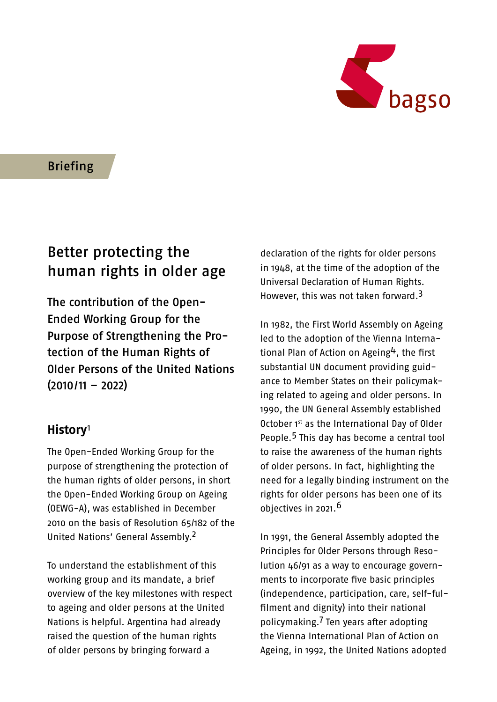

Briefing

# Better protecting the human rights in older age

The contribution of the Open-Ended Working Group for the Purpose of Strengthening the Protection of the Human Rights of Older Persons of the United Nations (2010/11 – 2022)

## **History**[1](#page-15-0)

The Open-Ended Working Group for the purpose of strengthening the protection of the human rights of older persons, in short the Open-Ended Working Group on Ageing (OEWG-A), was established in December 2010 on the basis of Resolution 65/182 of the United Nations' General Assembly[.2](#page-15-0)

To understand the establishment of this working group and its mandate, a brief overview of the key milestones with respect to ageing and older persons at the United Nations is helpful. Argentina had already raised the question of the human rights of older persons by bringing forward a

declaration of the rights for older persons in 1948, at the time of the adoption of the Universal Declaration of Human Rights. However, this was not taken forward.<sup>3</sup>

In 1982, the First World Assembly on Ageing led to the adoption of the Vienna Interna-tional Plan of Action on Ageing<sup>[4](#page-15-0)</sup>, the first substantial UN document providing guidance to Member States on their policymaking related to ageing and older persons. In 1990, the UN General Assembly established October 1st as the International Day of Older People.[5](#page-15-0) This day has become a central tool to raise the awareness of the human rights of older persons. In fact, highlighting the need for a legally binding instrument on the rights for older persons has been one of its objectives in 2021.<sup>6</sup>

In 1991, the General Assembly adopted the Principles for Older Persons through Resolution 46/91 as a way to encourage governments to incorporate five basic principles (independence, participation, care, self-fulfilment and dignity) into their national policymaking.[7](#page-15-0) Ten years after adopting the Vienna International Plan of Action on Ageing, in 1992, the United Nations adopted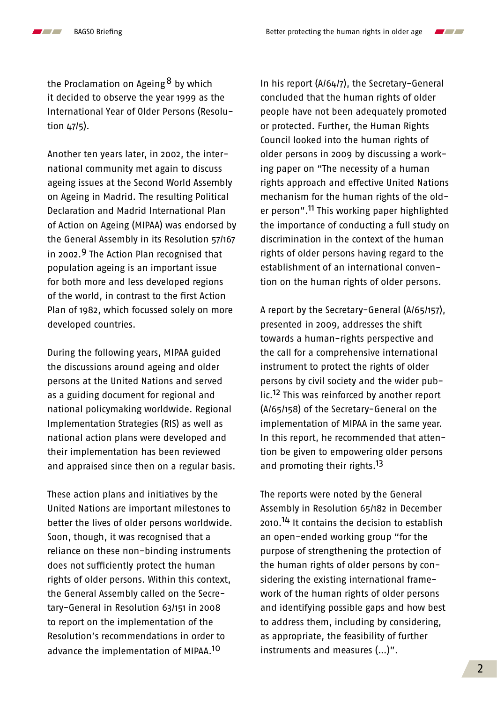the Proclamation on Ageing  $8$  by which it decided to observe the year 1999 as the International Year of Older Persons (Resolution  $\mu$  $7/5$ ).

Another ten years later, in 2002, the international community met again to discuss ageing issues at the Second World Assembly on Ageing in Madrid. The resulting Political Declaration and Madrid International Plan of Action on Ageing (MIPAA) was endorsed by the General Assembly in its Resolution 57/167 in 2002.<sup>9</sup> The Action Plan recognised that population ageing is an important issue for both more and less developed regions of the world, in contrast to the first Action Plan of 1982, which focussed solely on more developed countries.

During the following years, MIPAA guided the discussions around ageing and older persons at the United Nations and served as a guiding document for regional and national policymaking worldwide. Regional Implementation Strategies (RIS) as well as national action plans were developed and their implementation has been reviewed and appraised since then on a regular basis.

These action plans and initiatives by the United Nations are important milestones to better the lives of older persons worldwide. Soon, though, it was recognised that a reliance on these non-binding instruments does not sufficiently protect the human rights of older persons. Within this context, the General Assembly called on the Secretary-General in Resolution 63/151 in 2008 to report on the implementation of the Resolution's recommendations in order to advance the implementation of MIPAA.[10](#page-15-0)

In his report (A/64/7), the Secretary-General concluded that the human rights of older people have not been adequately promoted or protected. Further, the Human Rights Council looked into the human rights of older persons in 2009 by discussing a working paper on "The necessity of a human rights approach and effective United Nations mechanism for the human rights of the older person"[.11](#page-15-0) This working paper highlighted the importance of conducting a full study on discrimination in the context of the human rights of older persons having regard to the establishment of an international convention on the human rights of older persons.

A report by the Secretary-General (A/65/157), presented in 2009, addresses the shift towards a human-rights perspective and the call for a comprehensive international instrument to protect the rights of older persons by civil society and the wider public.<sup>12</sup> This was reinforced by another report (A/65/158) of the Secretary-General on the implementation of MIPAA in the same year. In this report, he recommended that attention be given to empowering older persons and promoting their rights.<sup>13</sup>

The reports were noted by the General Assembly in Resolution 65/182 in December 2010.[14](#page-15-0) It contains the decision to establish an open-ended working group "for the purpose of strengthening the protection of the human rights of older persons by considering the existing international framework of the human rights of older persons and identifying possible gaps and how best to address them, including by considering, as appropriate, the feasibility of further instruments and measures (…)".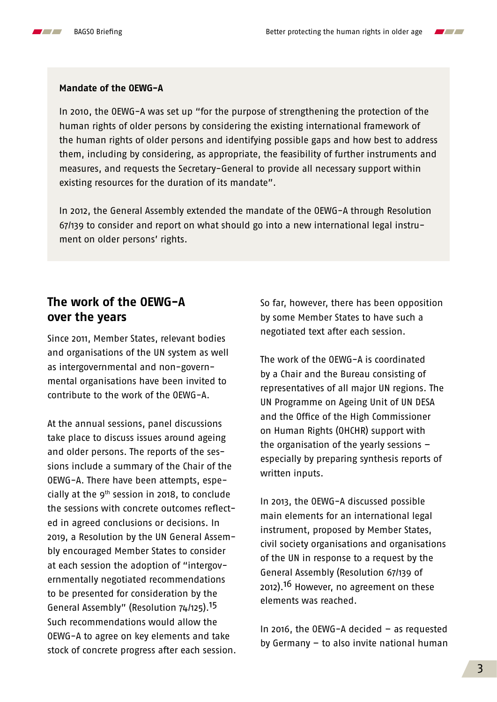



In 2010, the OEWG-A was set up "for the purpose of strengthening the protection of the human rights of older persons by considering the existing international framework of the human rights of older persons and identifying possible gaps and how best to address them, including by considering, as appropriate, the feasibility of further instruments and measures, and requests the Secretary-General to provide all necessary support within existing resources for the duration of its mandate".

In 2012, the General Assembly extended the mandate of the OEWG-A through Resolution 67/139 to consider and report on what should go into a new international legal instrument on older persons' rights.

#### **The work of the OEWG-A over the years**

Since 2011, Member States, relevant bodies and organisations of the UN system as well as intergovernmental and non-governmental organisations have been invited to contribute to the work of the OEWG-A.

At the annual sessions, panel discussions take place to discuss issues around ageing and older persons. The reports of the sessions include a summary of the Chair of the OEWG-A. There have been attempts, especially at the  $9<sup>th</sup>$  session in 2018, to conclude the sessions with concrete outcomes reflected in agreed conclusions or decisions. In 2019, a Resolution by the UN General Assembly encouraged Member States to consider at each session the adoption of "intergovernmentally negotiated recommendations to be presented for consideration by the General Assembly" (Resolution 74/125).[15](#page-15-0) Such recommendations would allow the OEWG-A to agree on key elements and take stock of concrete progress after each session. So far, however, there has been opposition by some Member States to have such a negotiated text after each session.

The work of the OEWG-A is coordinated by a Chair and the Bureau consisting of representatives of all major UN regions. The UN Programme on Ageing Unit of UN DESA and the Office of the High Commissioner on Human Rights (OHCHR) support with the organisation of the yearly sessions – especially by preparing synthesis reports of written inputs.

In 2013, the OEWG-A discussed possible main elements for an international legal instrument, proposed by Member States, civil society organisations and organisations of the UN in response to a request by the General Assembly (Resolution 67/139 of 2012).<sup>16</sup> However, no agreement on these elements was reached.

In 2016, the OEWG-A decided – as requested by Germany – to also invite national human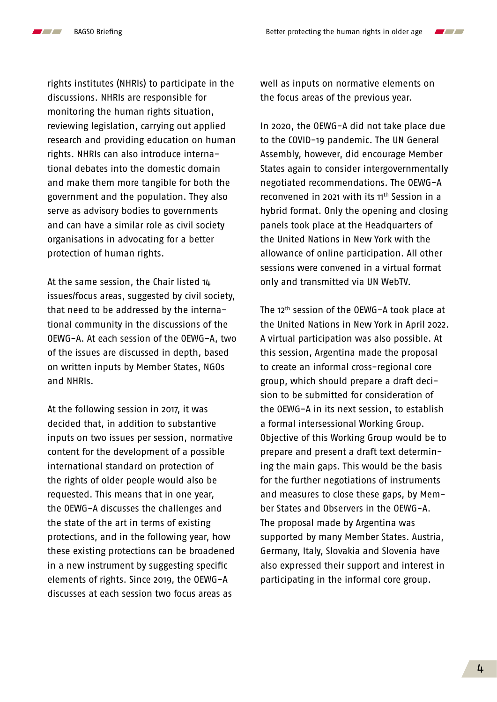

 $\mathcal{L}$ 

rights institutes (NHRIs) to participate in the discussions. NHRIs are responsible for monitoring the human rights situation, reviewing legislation, carrying out applied research and providing education on human rights. NHRIs can also introduce international debates into the domestic domain and make them more tangible for both the government and the population. They also serve as advisory bodies to governments and can have a similar role as civil society organisations in advocating for a better protection of human rights.

At the same session, the Chair listed 14 issues/focus areas, suggested by civil society, that need to be addressed by the international community in the discussions of the OEWG-A. At each session of the OEWG-A, two of the issues are discussed in depth, based on written inputs by Member States, NGOs and NHRIs.

At the following session in 2017, it was decided that, in addition to substantive inputs on two issues per session, normative content for the development of a possible international standard on protection of the rights of older people would also be requested. This means that in one year, the OEWG-A discusses the challenges and the state of the art in terms of existing protections, and in the following year, how these existing protections can be broadened in a new instrument by suggesting specific elements of rights. Since 2019, the OEWG-A discusses at each session two focus areas as

well as inputs on normative elements on the focus areas of the previous year.

In 2020, the OEWG-A did not take place due to the COVID-19 pandemic. The UN General Assembly, however, did encourage Member States again to consider intergovernmentally negotiated recommendations. The OEWG-A reconvened in 2021 with its 11<sup>th</sup> Session in a hybrid format. Only the opening and closing panels took place at the Headquarters of the United Nations in New York with the allowance of online participation. All other sessions were convened in a virtual format only and transmitted via UN WebTV.

The 12<sup>th</sup> session of the OEWG-A took place at the United Nations in New York in April 2022. A virtual participation was also possible. At this session, Argentina made the proposal to create an informal cross-regional core group, which should prepare a draft decision to be submitted for consideration of the OEWG-A in its next session, to establish a formal intersessional Working Group. Objective of this Working Group would be to prepare and present a draft text determining the main gaps. This would be the basis for the further negotiations of instruments and measures to close these gaps, by Member States and Observers in the OEWG-A. The proposal made by Argentina was supported by many Member States. Austria, Germany, Italy, Slovakia and Slovenia have also expressed their support and interest in participating in the informal core group.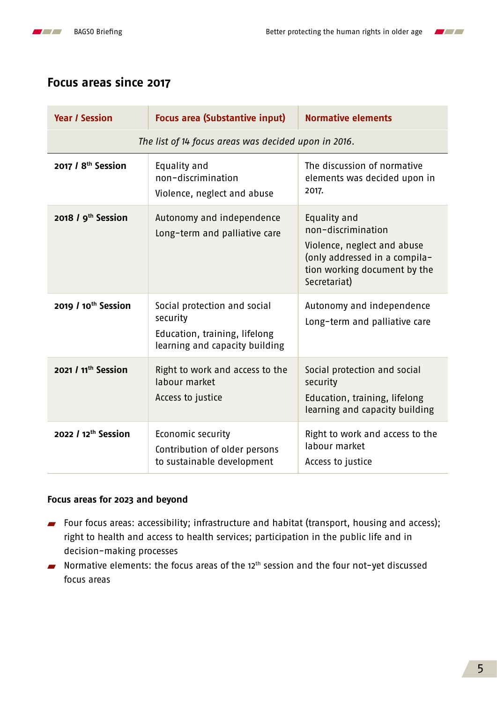



# **Focus areas since 2017**

| <b>Year / Session</b>                                | <b>Focus area (Substantive input)</b>                                                                       | <b>Normative elements</b>                                                                                                                          |
|------------------------------------------------------|-------------------------------------------------------------------------------------------------------------|----------------------------------------------------------------------------------------------------------------------------------------------------|
| The list of 14 focus areas was decided upon in 2016. |                                                                                                             |                                                                                                                                                    |
| 2017 / 8 <sup>th</sup> Session                       | Equality and<br>non-discrimination<br>Violence, neglect and abuse                                           | The discussion of normative<br>elements was decided upon in<br>2017.                                                                               |
| 2018 / 9 <sup>th</sup> Session                       | Autonomy and independence<br>Long-term and palliative care                                                  | Equality and<br>non-discrimination<br>Violence, neglect and abuse<br>(only addressed in a compila-<br>tion working document by the<br>Secretariat) |
| 2019 / 10 <sup>th</sup> Session                      | Social protection and social<br>security<br>Education, training, lifelong<br>learning and capacity building | Autonomy and independence<br>Long-term and palliative care                                                                                         |
| 2021 / 11 <sup>th</sup> Session                      | Right to work and access to the<br>labour market<br>Access to justice                                       | Social protection and social<br>security<br>Education, training, lifelong<br>learning and capacity building                                        |
| 2022 / 12 <sup>th</sup> Session                      | Economic security<br>Contribution of older persons<br>to sustainable development                            | Right to work and access to the<br>labour market<br>Access to justice                                                                              |

#### **Focus areas for 2023 and beyond**

- Four focus areas: accessibility; infrastructure and habitat (transport, housing and access); right to health and access to health services; participation in the public life and in decision-making processes
- Normative elements: the focus areas of the  $12<sup>th</sup>$  session and the four not-yet discussed focus areas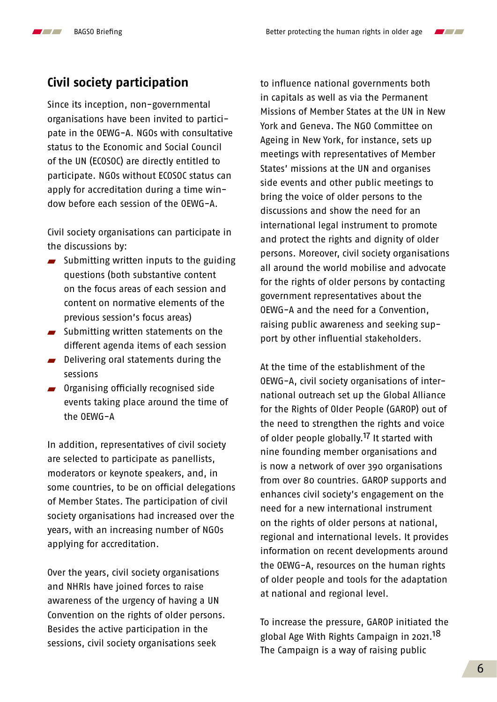$\overline{\phantom{a}}$ 

# **Civil society participation**

Since its inception, non-governmental organisations have been invited to participate in the OEWG-A. NGOs with consultative status to the Economic and Social Council of the UN (ECOSOC) are directly entitled to participate. NGOs without ECOSOC status can apply for accreditation during a time window before each session of the OEWG-A.

Civil society organisations can participate in the discussions by:

- $\blacksquare$  Submitting written inputs to the guiding questions (both substantive content on the focus areas of each session and content on normative elements of the previous session's focus areas)
- $\blacksquare$  Submitting written statements on the different agenda items of each session
- Delivering oral statements during the sessions
- **Organising officially recognised side** events taking place around the time of the OEWG-A

In addition, representatives of civil society are selected to participate as panellists, moderators or keynote speakers, and, in some countries, to be on official delegations of Member States. The participation of civil society organisations had increased over the years, with an increasing number of NGOs applying for accreditation.

Over the years, civil society organisations and NHRIs have joined forces to raise awareness of the urgency of having a UN Convention on the rights of older persons. Besides the active participation in the sessions, civil society organisations seek

to influence national governments both in capitals as well as via the Permanent Missions of Member States at the UN in New York and Geneva. The NGO Committee on Ageing in New York, for instance, sets up meetings with representatives of Member States' missions at the UN and organises side events and other public meetings to bring the voice of older persons to the discussions and show the need for an international legal instrument to promote and protect the rights and dignity of older persons. Moreover, civil society organisations all around the world mobilise and advocate for the rights of older persons by contacting government representatives about the OEWG-A and the need for a Convention, raising public awareness and seeking support by other influential stakeholders.

At the time of the establishment of the OEWG-A, civil society organisations of international outreach set up the Global Alliance for the Rights of Older People (GAROP) out of the need to strengthen the rights and voice of older people globally.<sup>17</sup> It started with nine founding member organisations and is now a network of over 390 organisations from over 80 countries. GAROP supports and enhances civil society's engagement on the need for a new international instrument on the rights of older persons at national, regional and international levels. It provides information on recent developments around the OEWG-A, resources on the human rights of older people and tools for the adaptation at national and regional level.

To increase the pressure, GAROP initiated the global Age With Rights Campaign in 2021[.18](#page-15-0) The Campaign is a way of raising public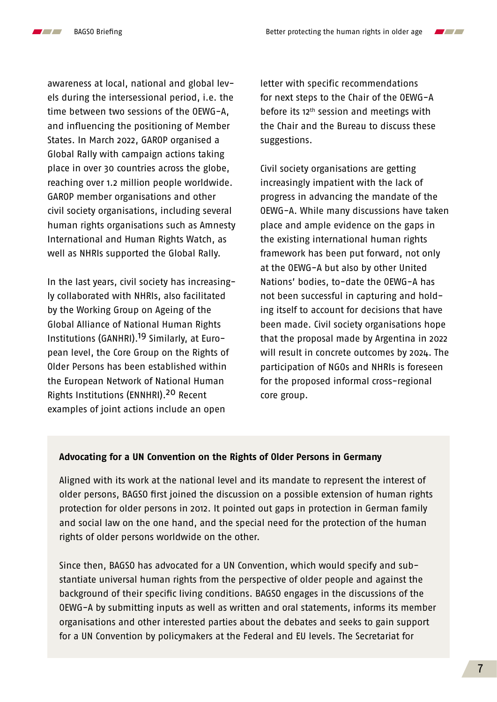

awareness at local, national and global levels during the intersessional period, i.e. the time between two sessions of the OEWG-A, and influencing the positioning of Member States. In March 2022, GAROP organised a Global Rally with campaign actions taking place in over 30 countries across the globe, reaching over 1.2 million people worldwide. GAROP member organisations and other civil society organisations, including several human rights organisations such as Amnesty International and Human Rights Watch, as well as NHRIs supported the Global Rally.

In the last years, civil society has increasingly collaborated with NHRIs, also facilitated by the Working Group on Ageing of the Global Alliance of National Human Rights Institutions (GANHRI).<sup>19</sup> Similarly, at European level, the Core Group on the Rights of Older Persons has been established within the European Network of National Human Rights Institutions (ENNHRI).[20](#page-15-0) Recent examples of joint actions include an open

letter with specific recommendations for next steps to the Chair of the OEWG-A before its  $12<sup>th</sup>$  session and meetings with the Chair and the Bureau to discuss these suggestions.

Civil society organisations are getting increasingly impatient with the lack of progress in advancing the mandate of the OEWG-A. While many discussions have taken place and ample evidence on the gaps in the existing international human rights framework has been put forward, not only at the OEWG-A but also by other United Nations' bodies, to-date the OEWG-A has not been successful in capturing and holding itself to account for decisions that have been made. Civil society organisations hope that the proposal made by Argentina in 2022 will result in concrete outcomes by 2024. The participation of NGOs and NHRIs is foreseen for the proposed informal cross-regional core group.

#### **Advocating for a UN Convention on the Rights of Older Persons in Germany**

Aligned with its work at the national level and its mandate to represent the interest of older persons, BAGSO first joined the discussion on a possible extension of human rights protection for older persons in 2012. It pointed out gaps in protection in German family and social law on the one hand, and the special need for the protection of the human rights of older persons worldwide on the other.

Since then, BAGSO has advocated for a UN Convention, which would specify and substantiate universal human rights from the perspective of older people and against the background of their specific living conditions. BAGSO engages in the discussions of the OEWG-A by submitting inputs as well as written and oral statements, informs its member organisations and other interested parties about the debates and seeks to gain support for a UN Convention by policymakers at the Federal and EU levels. The Secretariat for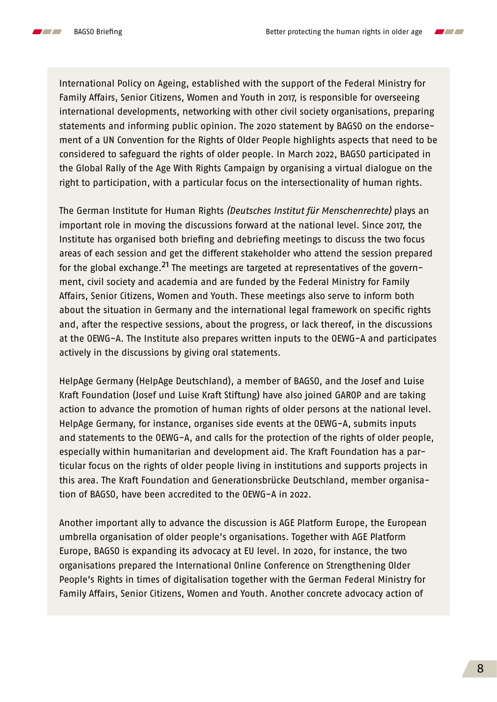

International Policy on Ageing, established with the support of the Federal Ministry for Family Affairs, Senior Citizens, Women and Youth in 2017, is responsible for overseeing international developments, networking with other civil society organisations, preparing statements and informing public opinion. The 2020 statement by BAGSO on the endorsement of a UN Convention for the Rights of Older People highlights aspects that need to be considered to safeguard the rights of older people. In March 2022, BAGSO participated in the Global Rally of the Age With Rights Campaign by organising a virtual dialogue on the right to participation, with a particular focus on the intersectionality of human rights.

The German Institute for Human Rights *(Deutsches Institut für Menschenrechte)* plays an important role in moving the discussions forward at the national level. Since 2017, the Institute has organised both briefing and debriefing meetings to discuss the two focus areas of each session and get the different stakeholder who attend the session prepared for the global exchange.<sup>21</sup> The meetings are targeted at representatives of the government, civil society and academia and are funded by the Federal Ministry for Family Affairs, Senior Citizens, Women and Youth. These meetings also serve to inform both about the situation in Germany and the international legal framework on specific rights and, after the respective sessions, about the progress, or lack thereof, in the discussions at the OEWG-A. The Institute also prepares written inputs to the OEWG-A and participates actively in the discussions by giving oral statements.

HelpAge Germany (HelpAge Deutschland), a member of BAGSO, and the Josef and Luise Kraft Foundation (Josef und Luise Kraft Stiftung) have also joined GAROP and are taking action to advance the promotion of human rights of older persons at the national level. HelpAge Germany, for instance, organises side events at the OEWG-A, submits inputs and statements to the OEWG-A, and calls for the protection of the rights of older people, especially within humanitarian and development aid. The Kraft Foundation has a particular focus on the rights of older people living in institutions and supports projects in this area. The Kraft Foundation and Generationsbrücke Deutschland, member organisation of BAGSO, have been accredited to the OEWG-A in 2022.

Another important ally to advance the discussion is AGE Platform Europe, the European umbrella organisation of older people's organisations. Together with AGE Platform Europe, BAGSO is expanding its advocacy at EU level. In 2020, for instance, the two organisations prepared the International Online Conference on Strengthening Older People's Rights in times of digitalisation together with the German Federal Ministry for Family Affairs, Senior Citizens, Women and Youth. Another concrete advocacy action of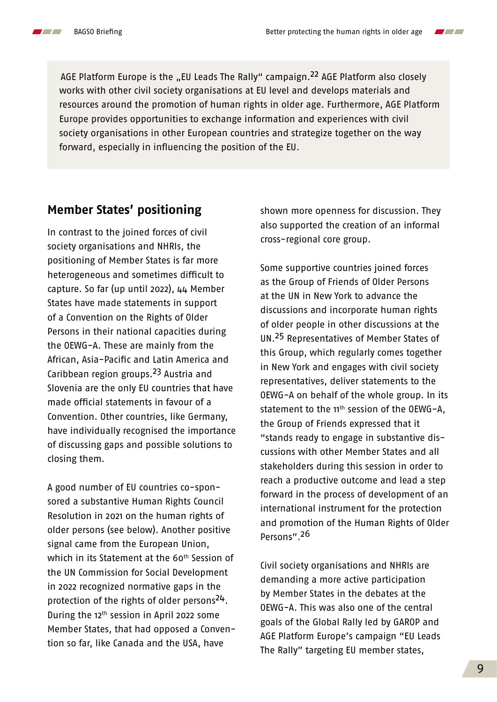$\mathcal{L}$ 

 $\blacksquare$ 

AGE Platform Europe is the "EU Leads The Rally" campaign.<sup>[22](#page-15-0)</sup> AGE Platform also closely works with other civil society organisations at EU level and develops materials and resources around the promotion of human rights in older age. Furthermore, AGE Platform Europe provides opportunities to exchange information and experiences with civil society organisations in other European countries and strategize together on the way forward, especially in influencing the position of the EU.

## **Member States' positioning**

In contrast to the joined forces of civil society organisations and NHRIs, the positioning of Member States is far more heterogeneous and sometimes difficult to capture. So far (up until 2022), 44 Member States have made statements in support of a Convention on the Rights of Older Persons in their national capacities during the OEWG-A. These are mainly from the African, Asia-Pacific and Latin America and Caribbean region groups[.23](#page-15-0) Austria and Slovenia are the only EU countries that have made official statements in favour of a Convention. Other countries, like Germany, have individually recognised the importance of discussing gaps and possible solutions to closing them.

A good number of EU countries co-sponsored a substantive Human Rights Council Resolution in 2021 on the human rights of older persons (see below). Another positive signal came from the European Union, which in its Statement at the 60<sup>th</sup> Session of the UN Commission for Social Development in 2022 recognized normative gaps in the protection of the rights of older persons<sup>24</sup>. During the 12th session in April 2022 some Member States, that had opposed a Convention so far, like Canada and the USA, have

shown more openness for discussion. They also supported the creation of an informal cross-regional core group.

Some supportive countries joined forces as the Group of Friends of Older Persons at the UN in New York to advance the discussions and incorporate human rights of older people in other discussions at the UN.25 Representatives of Member States of this Group, which regularly comes together in New York and engages with civil society representatives, deliver statements to the OEWG-A on behalf of the whole group. In its statement to the 11<sup>th</sup> session of the OEWG-A, the Group of Friends expressed that it "stands ready to engage in substantive discussions with other Member States and all stakeholders during this session in order to reach a productive outcome and lead a step forward in the process of development of an international instrument for the protection and promotion of the Human Rights of Older Persons"[.26](#page-16-0)

Civil society organisations and NHRIs are demanding a more active participation by Member States in the debates at the OEWG-A. This was also one of the central goals of the Global Rally led by GAROP and AGE Platform Europe's campaign "EU Leads The Rally" targeting EU member states,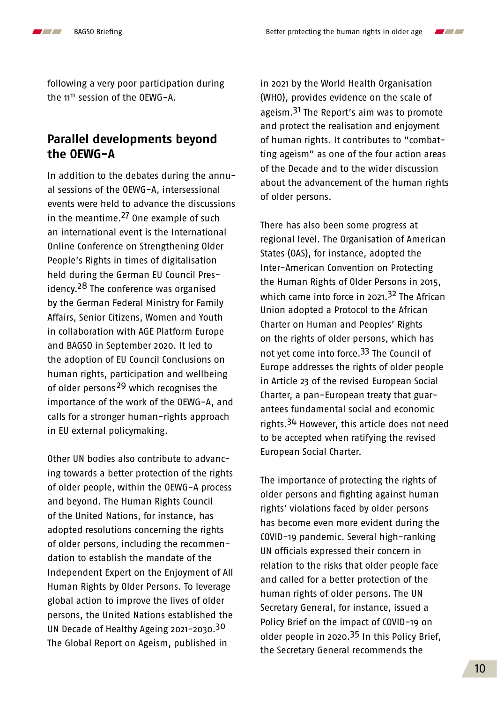following a very poor participation during the 11th session of the OEWG-A.

# **Parallel developments beyond the OEWG-A**

In addition to the debates during the annual sessions of the OEWG-A, intersessional events were held to advance the discussions in the meantime.<sup>27</sup> One example of such an international event is the International Online Conference on Strengthening Older People's Rights in times of digitalisation held during the German EU Council Presidency.<sup>28</sup> The conference was organised by the German Federal Ministry for Family Affairs, Senior Citizens, Women and Youth in collaboration with AGE Platform Europe and BAGSO in September 2020. It led to the adoption of EU Council Conclusions on human rights, participation and wellbeing of older persons<sup>[29](#page-16-0)</sup> which recognises the importance of the work of the OEWG-A, and calls for a stronger human-rights approach in EU external policymaking.

Other UN bodies also contribute to advancing towards a better protection of the rights of older people, within the OEWG-A process and beyond. The Human Rights Council of the United Nations, for instance, has adopted resolutions concerning the rights of older persons, including the recommendation to establish the mandate of the Independent Expert on the Enjoyment of All Human Rights by Older Persons. To leverage global action to improve the lives of older persons, the United Nations established the UN Decade of Healthy Ageing 2021-2030[.30](#page-16-0) The Global Report on Ageism, published in

in 2021 by the World Health Organisation (WHO), provides evidence on the scale of ageism.<sup>31</sup> The Report's aim was to promote and protect the realisation and enjoyment of human rights. It contributes to "combatting ageism" as one of the four action areas of the Decade and to the wider discussion about the advancement of the human rights of older persons.

There has also been some progress at regional level. The Organisation of American States (OAS), for instance, adopted the Inter-American Convention on Protecting the Human Rights of Older Persons in 2015, which came into force in 2021.<sup>[32](#page-16-0)</sup> The African Union adopted a Protocol to the African Charter on Human and Peoples' Rights on the rights of older persons, which has not yet come into force[.33](#page-16-0) The Council of Europe addresses the rights of older people in Article 23 of the revised European Social Charter, a pan-European treaty that guarantees fundamental social and economic rights.<sup>34</sup> However, this article does not need to be accepted when ratifying the revised European Social Charter.

The importance of protecting the rights of older persons and fighting against human rights' violations faced by older persons has become even more evident during the COVID-19 pandemic. Several high-ranking UN officials expressed their concern in relation to the risks that older people face and called for a better protection of the human rights of older persons. The UN Secretary General, for instance, issued a Policy Brief on the impact of COVID-19 on older people in 2020.[35](#page-16-0) In this Policy Brief, the Secretary General recommends the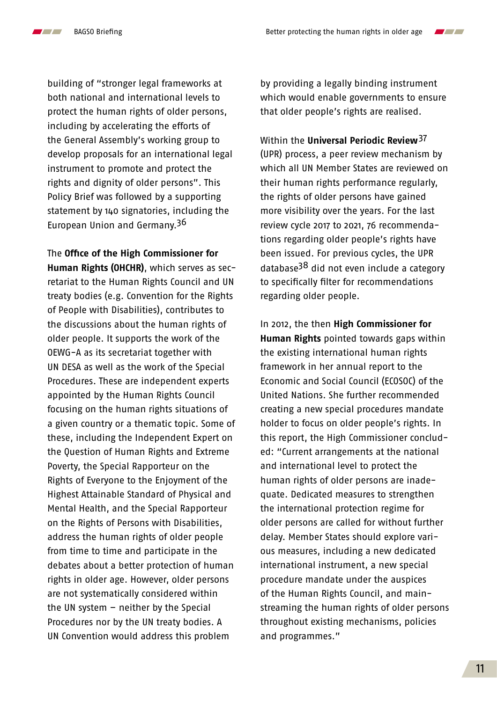$\mathcal{L}$ 

 $\blacksquare$ 

building of "stronger legal frameworks at both national and international levels to protect the human rights of older persons, including by accelerating the efforts of the General Assembly's working group to develop proposals for an international legal instrument to promote and protect the rights and dignity of older persons". This Policy Brief was followed by a supporting statement by 140 signatories, including the European Union and Germany.<sup>36</sup>

The **Office of the High Commissioner for Human Rights (OHCHR)**, which serves as secretariat to the Human Rights Council and UN treaty bodies (e.g. Convention for the Rights of People with Disabilities), contributes to the discussions about the human rights of older people. It supports the work of the OEWG-A as its secretariat together with UN DESA as well as the work of the Special Procedures. These are independent experts appointed by the Human Rights Council focusing on the human rights situations of a given country or a thematic topic. Some of these, including the Independent Expert on the Question of Human Rights and Extreme Poverty, the Special Rapporteur on the Rights of Everyone to the Enjoyment of the Highest Attainable Standard of Physical and Mental Health, and the Special Rapporteur on the Rights of Persons with Disabilities, address the human rights of older people from time to time and participate in the debates about a better protection of human rights in older age. However, older persons are not systematically considered within the UN system – neither by the Special Procedures nor by the UN treaty bodies. A UN Convention would address this problem

by providing a legally binding instrument which would enable governments to ensure that older people's rights are realised.

Within the **Universal Periodic Review**[37](#page-16-0) (UPR) process, a peer review mechanism by which all UN Member States are reviewed on their human rights performance regularly, the rights of older persons have gained more visibility over the years. For the last review cycle 2017 to 2021, 76 recommendations regarding older people's rights have been issued. For previous cycles, the UPR database[38](#page-16-0) did not even include a category to specifically filter for recommendations regarding older people.

In 2012, the then **High Commissioner for Human Rights** pointed towards gaps within the existing international human rights framework in her annual report to the Economic and Social Council (ECOSOC) of the United Nations. She further recommended creating a new special procedures mandate holder to focus on older people's rights. In this report, the High Commissioner concluded: "Current arrangements at the national and international level to protect the human rights of older persons are inadequate. Dedicated measures to strengthen the international protection regime for older persons are called for without further delay. Member States should explore various measures, including a new dedicated international instrument, a new special procedure mandate under the auspices of the Human Rights Council, and mainstreaming the human rights of older persons throughout existing mechanisms, policies and programmes."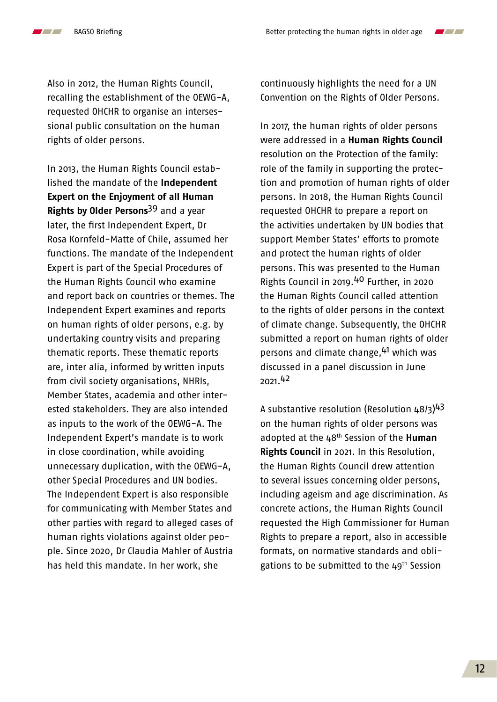Also in 2012, the Human Rights Council, recalling the establishment of the OEWG-A, requested OHCHR to organise an intersessional public consultation on the human rights of older persons.

In 2013, the Human Rights Council established the mandate of the **Independent Expert on the Enjoyment of all Human Rights by Older Persons**[39](#page-16-0) and a year later, the first Independent Expert, Dr Rosa Kornfeld-Matte of Chile, assumed her functions. The mandate of the Independent Expert is part of the Special Procedures of the Human Rights Council who examine and report back on countries or themes. The Independent Expert examines and reports on human rights of older persons, e.g. by undertaking country visits and preparing thematic reports. These thematic reports are, inter alia, informed by written inputs from civil society organisations, NHRIs, Member States, academia and other interested stakeholders. They are also intended as inputs to the work of the OEWG-A. The Independent Expert's mandate is to work in close coordination, while avoiding unnecessary duplication, with the OEWG-A, other Special Procedures and UN bodies. The Independent Expert is also responsible for communicating with Member States and other parties with regard to alleged cases of human rights violations against older people. Since 2020, Dr Claudia Mahler of Austria has held this mandate. In her work, she

continuously highlights the need for a UN Convention on the Rights of Older Persons.

In 2017, the human rights of older persons were addressed in a **Human Rights Council** resolution on the Protection of the family: role of the family in supporting the protection and promotion of human rights of older persons. In 2018, the Human Rights Council requested OHCHR to prepare a report on the activities undertaken by UN bodies that support Member States' efforts to promote and protect the human rights of older persons. This was presented to the Human Rights Council in 2019[.40](#page-16-0) Further, in 2020 the Human Rights Council called attention to the rights of older persons in the context of climate change. Subsequently, the OHCHR submitted a report on human rights of older persons and climate change, <sup>41</sup> which was discussed in a panel discussion in June 2021[.42](#page-16-0)

A substantive resolution (Resolution 48/3)<sup>[43](#page-16-0)</sup> on the human rights of older persons was adopted at the 48th Session of the **Human Rights Council** in 2021. In this Resolution, the Human Rights Council drew attention to several issues concerning older persons, including ageism and age discrimination. As concrete actions, the Human Rights Council requested the High Commissioner for Human Rights to prepare a report, also in accessible formats, on normative standards and obligations to be submitted to the  $49<sup>th</sup>$  Session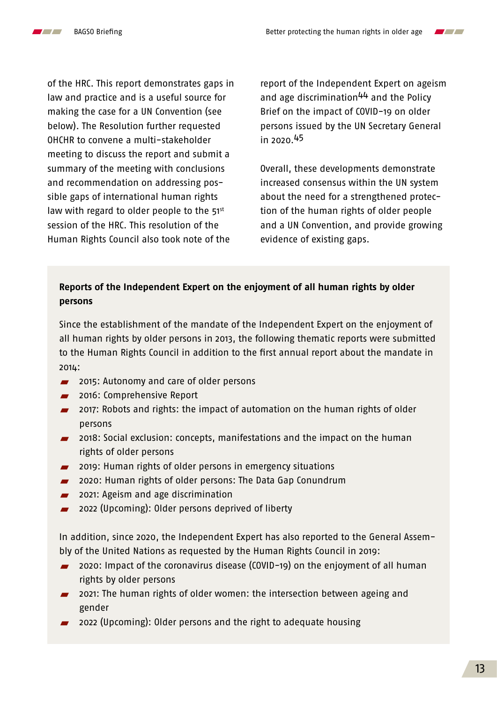

of the HRC. This report demonstrates gaps in law and practice and is a useful source for making the case for a UN Convention (see below). The Resolution further requested OHCHR to convene a multi-stakeholder meeting to discuss the report and submit a summary of the meeting with conclusions and recommendation on addressing possible gaps of international human rights law with regard to older people to the  $51<sup>st</sup>$ session of the HRC. This resolution of the Human Rights Council also took note of the

report of the Independent Expert on ageism and age discrimination<sup>44</sup> and the Policy Brief on the impact of COVID-19 on older persons issued by the UN Secretary General in 2020[.45](#page-16-0)

Overall, these developments demonstrate increased consensus within the UN system about the need for a strengthened protection of the human rights of older people and a UN Convention, and provide growing evidence of existing gaps.

#### **Reports of the Independent Expert on the enjoyment of all human rights by older persons**

Since the establishment of the mandate of the Independent Expert on the enjoyment of all human rights by older persons in 2013, the following thematic reports were submitted to the Human Rights Council in addition to the first annual report about the mandate in 2014:

- **2015: Autonomy and care of older persons**
- **2016: Comprehensive Report**
- **2017: Robots and rights: the impact of automation on the human rights of older** persons
- **2018:** Social exclusion: concepts, manifestations and the impact on the human rights of older persons
- **2019: Human rights of older persons in emergency situations**
- **2020: Human rights of older persons: The Data Gap Conundrum**
- **2021:** Ageism and age discrimination
- 2022 (Upcoming): Older persons deprived of liberty

In addition, since 2020, the Independent Expert has also reported to the General Assembly of the United Nations as requested by the Human Rights Council in 2019:

- 2020: Impact of the coronavirus disease (COVID-19) on the enjoyment of all human rights by older persons
- **2021:** The human rights of older women: the intersection between ageing and gender
- 2022 (Upcoming): Older persons and the right to adequate housing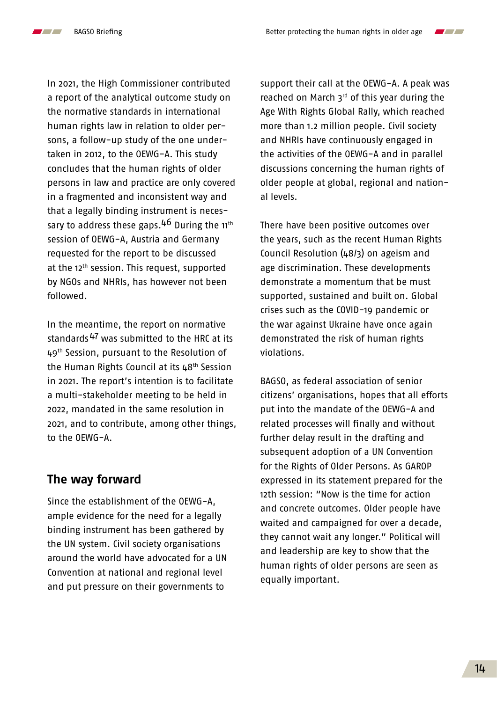

In 2021, the High Commissioner contributed a report of the analytical outcome study on the normative standards in international human rights law in relation to older persons, a follow-up study of the one undertaken in 2012, to the OEWG-A. This study concludes that the human rights of older persons in law and practice are only covered in a fragmented and inconsistent way and that a legally binding instrument is necessary to address these gaps.  $4^6$  During the 11<sup>th</sup> session of OEWG-A, Austria and Germany requested for the report to be discussed at the 12<sup>th</sup> session. This request, supported by NGOs and NHRIs, has however not been followed.

In the meantime, the report on normative standards<sup>47</sup> was submitted to the HRC at its 49<sup>th</sup> Session, pursuant to the Resolution of the Human Rights Council at its  $48<sup>th</sup>$  Session in 2021. The report's intention is to facilitate a multi-stakeholder meeting to be held in 2022, mandated in the same resolution in 2021, and to contribute, among other things, to the OEWG-A.

## **The way forward**

Since the establishment of the OEWG-A, ample evidence for the need for a legally binding instrument has been gathered by the UN system. Civil society organisations around the world have advocated for a UN Convention at national and regional level and put pressure on their governments to

support their call at the OEWG-A. A peak was reached on March 3rd of this year during the Age With Rights Global Rally, which reached more than 1.2 million people. Civil society and NHRIs have continuously engaged in the activities of the OEWG-A and in parallel discussions concerning the human rights of older people at global, regional and national levels.

There have been positive outcomes over the years, such as the recent Human Rights Council Resolution (48/3) on ageism and age discrimination. These developments demonstrate a momentum that be must supported, sustained and built on. Global crises such as the COVID-19 pandemic or the war against Ukraine have once again demonstrated the risk of human rights violations.

BAGSO, as federal association of senior citizens' organisations, hopes that all efforts put into the mandate of the OEWG-A and related processes will finally and without further delay result in the drafting and subsequent adoption of a UN Convention for the Rights of Older Persons. As GAROP expressed in its statement prepared for the 12th session: "Now is the time for action and concrete outcomes. Older people have waited and campaigned for over a decade, they cannot wait any longer." Political will and leadership are key to show that the human rights of older persons are seen as equally important.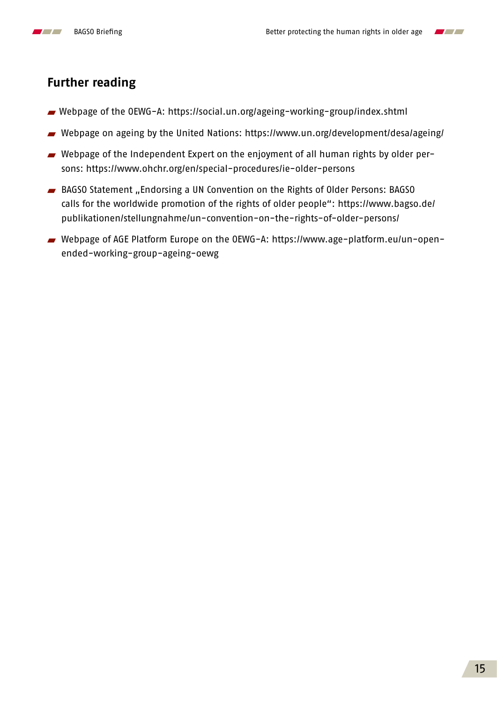



- Webpage of the OEWG-A:<https://social.un.org/ageing-working-group/index.shtml>
- Webpage on ageing by the United Nations:<https://www.un.org/development/desa/ageing/>
- Webpage of the Independent Expert on the enjoyment of all human rights by older persons:<https://www.ohchr.org/en/special-procedures/ie-older-persons>
- BAGSO Statement "Endorsing a UN Convention on the Rights of Older Persons: BAGSO calls for the worldwide promotion of the rights of older people": [https://www.bagso.de/](https://www.bagso.de/publikationen/stellungnahme/un-convention-on-the-rights-of-older-persons/) [publikationen/stellungnahme/un-convention-on-the-rights-of-older-persons/](https://www.bagso.de/publikationen/stellungnahme/un-convention-on-the-rights-of-older-persons/)
- Webpage of AGE Platform Europe on the OEWG-A: [https://www.age-platform.eu/un-open](https://www.age-platform.eu/un-open-ended-working-group-ageing-oewg)[ended-working-group-ageing-oewg](https://www.age-platform.eu/un-open-ended-working-group-ageing-oewg)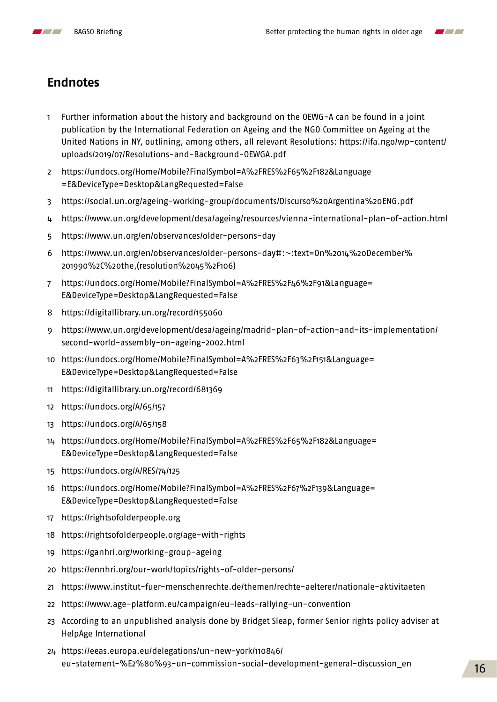<span id="page-15-0"></span>



# **Endnotes**

- Further information about the history and background on the OEWG-A can be found in a joint publication by the International Federation on Ageing and the NGO Committee on Ageing at the United Nations in NY, outlining, among others, all relevant Resolutions: [https://ifa.ngo/wp-content/](https://ifa.ngo/wp-content/uploads/2019/07/Resolutions-and-Background-OEWGA.pdf) [uploads/2019/07/Resolutions-and-Background-OEWGA.pdf](https://ifa.ngo/wp-content/uploads/2019/07/Resolutions-and-Background-OEWGA.pdf)
- [https://undocs.org/Home/Mobile?FinalSymbol=A%2FRES%2F65%2F182&Language](https://undocs.org/Home/Mobile?FinalSymbol=A%2FRES%2F65%2F182&Language=E&DeviceType=Desktop&LangRequested=False) [=E&DeviceType=Desktop&LangRequested=False](https://undocs.org/Home/Mobile?FinalSymbol=A%2FRES%2F65%2F182&Language=E&DeviceType=Desktop&LangRequested=False)
- <https://social.un.org/ageing-working-group/documents/Discurso%20Argentina%20ENG.pdf>
- <https://www.un.org/development/desa/ageing/resources/vienna-international-plan-of-action.html>
- <https://www.un.org/en/observances/older-persons-day>
- [https://www.un.org/en/observances/older-persons-day#:~:text=On%2014%20December%](https://www.un.org/en/observances/older-persons-day#:~:text=On%2014%20December%201990%2C%20the,(resolution%2045%2F106)) [201990%2C%20the,\(resolution%2045%2F106\)](https://www.un.org/en/observances/older-persons-day#:~:text=On%2014%20December%201990%2C%20the,(resolution%2045%2F106))
- [https://undocs.org/Home/Mobile?FinalSymbol=A%2FRES%2F46%2F91&Language=](https://undocs.org/Home/Mobile?FinalSymbol=A%2FRES%2F46%2F91&Language=E&DeviceType=Desktop&LangReque) [E&DeviceType=Desktop&LangRequested=False](https://undocs.org/Home/Mobile?FinalSymbol=A%2FRES%2F46%2F91&Language=E&DeviceType=Desktop&LangReque)
- <https://digitallibrary.un.org/record/155060>
- [https://www.un.org/development/desa/ageing/madrid-plan-of-action-and-its-implementation/](https://www.un.org/development/desa/ageing/madrid-plan-of-action-and-its-implementation/second-world-assembly-on-ageing-2002.html) [second-world-assembly-on-ageing-2002.html](https://www.un.org/development/desa/ageing/madrid-plan-of-action-and-its-implementation/second-world-assembly-on-ageing-2002.html)
- https://undocs.org/Home/Mobile?FinalSymbol=A%2FRES%2F63%2F151&Language= E&DeviceType=Desktop&LangRequested=False
- <https://digitallibrary.un.org/record/681369>
- [https://undocs.org/A/65/157](https://undocs.org/A/65/157 )
- <https://undocs.org/A/65/158>
- [https://undocs.org/Home/Mobile?FinalSymbol=A%2FRES%2F65%2F182&Language=](https://undocs.org/Home/Mobile?FinalSymbol=A%2FRES%2F65%2F182&Language=E&DeviceType=Desktop&LangRequested=False) [E&DeviceType=Desktop&LangRequested=False](https://undocs.org/Home/Mobile?FinalSymbol=A%2FRES%2F65%2F182&Language=E&DeviceType=Desktop&LangRequested=False)
- <https://undocs.org/A/RES/74/125>
- [https://undocs.org/Home/Mobile?FinalSymbol=A%2FRES%2F67%2F139&Language=](https://undocs.org/Home/Mobile?FinalSymbol=A%2FRES%2F67%2F139&Language=E&DeviceType=Desktop&LangRequested=False) [E&DeviceType=Desktop&LangRequested=False](https://undocs.org/Home/Mobile?FinalSymbol=A%2FRES%2F67%2F139&Language=E&DeviceType=Desktop&LangRequested=False)
- <https://rightsofolderpeople.org>
- <https://rightsofolderpeople.org/age-with-rights>
- <https://ganhri.org/working-group-ageing>
- <https://ennhri.org/our-work/topics/rights-of-older-persons/>
- <https://www.institut-fuer-menschenrechte.de/themen/rechte-aelterer/nationale-aktivitaeten>
- <https://www.age-platform.eu/campaign/eu-leads-rallying-un-convention>
- According to an unpublished analysis done by Bridget Sleap, former Senior rights policy adviser at HelpAge International
- [https://eeas.europa.eu/delegations/un-new-york/110846/](https://eeas.europa.eu/delegations/un-new-york/110846/eu-statement-%E2%80%93-un-commission-social-de) [eu-statement-%E2%80%93-un-commission-social-development-general-discussion\\_en](https://eeas.europa.eu/delegations/un-new-york/110846/eu-statement-%E2%80%93-un-commission-social-de)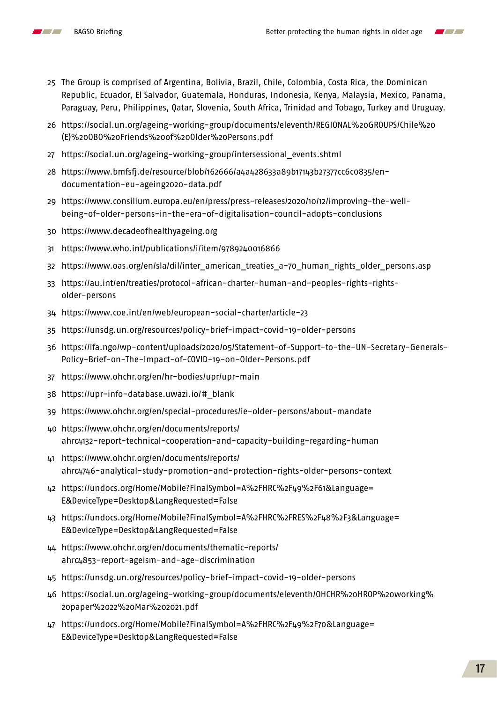<span id="page-16-0"></span>

- The Group is comprised of Argentina, Bolivia, Brazil, Chile, Colombia, Costa Rica, the Dominican Republic, Ecuador, El Salvador, Guatemala, Honduras, Indonesia, Kenya, Malaysia, Mexico, Panama, Paraguay, Peru, Philippines, Qatar, Slovenia, South Africa, Trinidad and Tobago, Turkey and Uruguay.
- [https://social.un.org/ageing-working-group/documents/eleventh/REGIONAL%20GROUPS/Chile%20](https://social.un.org/ageing-working-group/documents/eleventh/REGIONAL%20GROUPS/Chile%20(E)%20OBO%20Friends%20of%20Older%20Persons.pdf) [\(E\)%20OBO%20Friends%20of%20Older%20Persons.pdf](https://social.un.org/ageing-working-group/documents/eleventh/REGIONAL%20GROUPS/Chile%20(E)%20OBO%20Friends%20of%20Older%20Persons.pdf)
- [https://social.un.org/ageing-working-group/intersessional\\_events.shtml](https://social.un.org/ageing-working-group/intersessional_events.shtml)
- [https://www.bmfsfj.de/resource/blob/162666/a4a428633a89b17143b27377cc6c0835/en](https://www.bmfsfj.de/resource/blob/162666/a4a428633a89b17143b27377cc6c0835/en-documentation-eu-ageing2020-data.pdf)[documentation-eu-ageing2020-data.pdf](https://www.bmfsfj.de/resource/blob/162666/a4a428633a89b17143b27377cc6c0835/en-documentation-eu-ageing2020-data.pdf)
- [https://www.consilium.europa.eu/en/press/press-releases/2020/10/12/improving-the-well](https://www.consilium.europa.eu/en/press/press-releases/2020/10/12/improving-the-well-being-of-older-persons-in-the-era-of-digitalisation-council-adopts-conclusions)[being-of-older-persons-in-the-era-of-digitalisation-council-adopts-conclusions](https://www.consilium.europa.eu/en/press/press-releases/2020/10/12/improving-the-well-being-of-older-persons-in-the-era-of-digitalisation-council-adopts-conclusions)
- <https://www.decadeofhealthyageing.org>
- <https://www.who.int/publications/i/item/9789240016866>
- [https://www.oas.org/en/sla/dil/inter\\_american\\_treaties\\_a-70\\_human\\_rights\\_older\\_persons.asp](https://www.oas.org/en/sla/dil/inter_american_treaties_a-70_human_rights_older_persons.asp)
- [https://au.int/en/treaties/protocol-african-charter-human-and-peoples-rights-rights](https://au.int/en/treaties/protocol-african-charter-human-and-peoples-rights-rights-older-persons)[older-persons](https://au.int/en/treaties/protocol-african-charter-human-and-peoples-rights-rights-older-persons)
- <https://www.coe.int/en/web/european-social-charter/article-23>
- <https://unsdg.un.org/resources/policy-brief-impact-covid-19-older-persons>
- [https://ifa.ngo/wp-content/uploads/2020/05/Statement-of-Support-to-the-UN-Secretary-Generals-](https://ifa.ngo/wp-content/uploads/2020/05/Statement-of-Support-to-the-UN-Secretary-Generals-Policy-)[Policy-Brief-on-The-Impact-of-COVID-19-on-Older-Persons.pdf](https://ifa.ngo/wp-content/uploads/2020/05/Statement-of-Support-to-the-UN-Secretary-Generals-Policy-)
- <https://www.ohchr.org/en/hr-bodies/upr/upr-main>
- [https://upr-info-database.uwazi.io/#\\_blank](https://upr-info-database.uwazi.io/#_blank)
- <https://www.ohchr.org/en/special-procedures/ie-older-persons/about-mandate>
- [https://www.ohchr.org/en/documents/reports/](https://www.ohchr.org/en/documents/reports/ahrc4132-report-technical-cooperation-and-capacity-building-regarding-human) [ahrc4132-report-technical-cooperation-and-capacity-building-regarding-human](https://www.ohchr.org/en/documents/reports/ahrc4132-report-technical-cooperation-and-capacity-building-regarding-human)
- [https://www.ohchr.org/en/documents/reports/](https://www.ohchr.org/en/documents/reports/ahrc4746-analytical-study-promotion-and-protection-rights-older-persons-context) [ahrc4746-analytical-study-promotion-and-protection-rights-older-persons-context](https://www.ohchr.org/en/documents/reports/ahrc4746-analytical-study-promotion-and-protection-rights-older-persons-context)
- [https://undocs.org/Home/Mobile?FinalSymbol=A%2FHRC%2F49%2F61&Language=](https://undocs.org/Home/Mobile?FinalSymbol=A%2FHRC%2F49%2F61&Language=E&DeviceType=Desktop&LangReque) [E&DeviceType=Desktop&LangRequested=False](https://undocs.org/Home/Mobile?FinalSymbol=A%2FHRC%2F49%2F61&Language=E&DeviceType=Desktop&LangReque)
- [https://undocs.org/Home/Mobile?FinalSymbol=A%2FHRC%2FRES%2F48%2F3&Language=](https://undocs.org/Home/Mobile?FinalSymbol=A%2FHRC%2FRES%2F48%2F3&Language=E&DeviceType=Desktop&LangRequested=False) [E&DeviceType=Desktop&LangRequested=False](https://undocs.org/Home/Mobile?FinalSymbol=A%2FHRC%2FRES%2F48%2F3&Language=E&DeviceType=Desktop&LangRequested=False)
- [https://www.ohchr.org/en/documents/thematic-reports/](https://www.ohchr.org/en/documents/thematic-reports/ahrc4853-report-ageism-and-age-discrimination) [ahrc4853-report-ageism-and-age-discrimination](https://www.ohchr.org/en/documents/thematic-reports/ahrc4853-report-ageism-and-age-discrimination)
- <https://unsdg.un.org/resources/policy-brief-impact-covid-19-older-persons>
- [https://social.un.org/ageing-working-group/documents/eleventh/OHCHR%20HROP%20working%](https://social.un.org/ageing-working-group/documents/eleventh/OHCHR%20HROP%20working%20paper%2022%20Mar%202021.pdf) [20paper%2022%20Mar%202021.pdf](https://social.un.org/ageing-working-group/documents/eleventh/OHCHR%20HROP%20working%20paper%2022%20Mar%202021.pdf)
- [https://undocs.org/Home/Mobile?FinalSymbol=A%2FHRC%2F49%2F70&Language=](https://undocs.org/Home/Mobile?FinalSymbol=A%2FHRC%2F49%2F70&Language=E&DeviceType=Desktop&LangReque) [E&DeviceType=Desktop&LangRequested=False](https://undocs.org/Home/Mobile?FinalSymbol=A%2FHRC%2F49%2F70&Language=E&DeviceType=Desktop&LangReque)